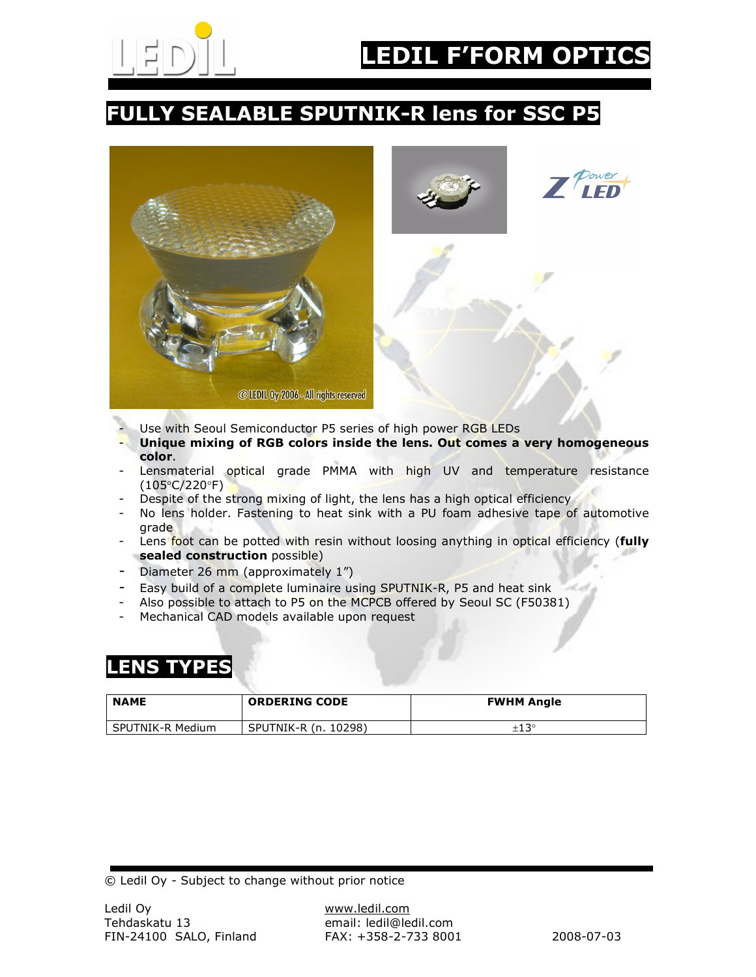

## FULLY SEALABLE SPUTNIK-R lens for SSC P5





- Use with Seoul Semiconductor P5 series of high power RGB LEDs
- Unique mixing of RGB colors inside the lens. Out comes a very homogeneous color.
- Lensmaterial optical grade PMMA with high UV and temperature resistance (105°C/220°F)
- Despite of the strong mixing of light, the lens has a high optical efficiency
- No lens holder. Fastening to heat sink with a PU foam adhesive tape of automotive grade
- Lens foot can be potted with resin without loosing anything in optical efficiency (fully sealed construction possible)
- Diameter 26 mm (approximately 1")
- Easy build of a complete luminaire using SPUTNIK-R, P5 and heat sink
- Also possible to attach to P5 on the MCPCB offered by Seoul SC (F50381)
- Mechanical CAD models available upon request

## **ENS TYPES**

| <b>NAME</b>      | <b>ORDERING CODE</b> | <b>FWHM Angle</b> |
|------------------|----------------------|-------------------|
| SPUTNIK-R Medium | SPUTNIK-R (n. 10298) | $\pm 13^{\circ}$  |

© Ledil Oy - Subject to change without prior notice